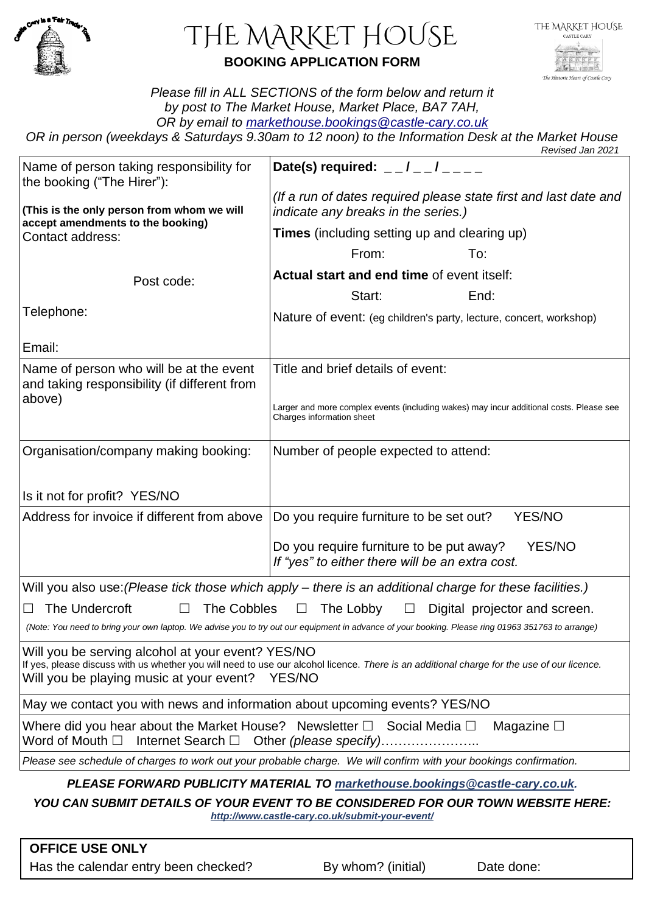

# THE MARKET HOUSE **BOOKING APPLICATION FORM**

*Please fill in ALL SECTIONS of the form below and return it by post to The Market House, Market Place, BA7 7AH, OR by email to [markethouse.bookings@castle-cary.co.uk](mailto:markethouse.bookings@castle-cary.co.uk)*

*OR in person (weekdays & Saturdays 9.30am to 12 noon) to the Information Desk at the Market House Revised Jan 2021*

|                                                                                                                                                                                                                                                       | <b>NEVISEU JAHZUZ I</b>                                                                                                             |
|-------------------------------------------------------------------------------------------------------------------------------------------------------------------------------------------------------------------------------------------------------|-------------------------------------------------------------------------------------------------------------------------------------|
| Name of person taking responsibility for<br>the booking ("The Hirer"):                                                                                                                                                                                | Date(s) required: $  /$ $  /$ $  -$                                                                                                 |
| (This is the only person from whom we will<br>accept amendments to the booking)<br>Contact address:                                                                                                                                                   | (If a run of dates required please state first and last date and<br>indicate any breaks in the series.)                             |
|                                                                                                                                                                                                                                                       | <b>Times</b> (including setting up and clearing up)                                                                                 |
|                                                                                                                                                                                                                                                       | From:<br>To:                                                                                                                        |
| Post code:                                                                                                                                                                                                                                            | Actual start and end time of event itself:                                                                                          |
|                                                                                                                                                                                                                                                       | Start:<br>End:                                                                                                                      |
| Telephone:                                                                                                                                                                                                                                            | Nature of event: (eg children's party, lecture, concert, workshop)                                                                  |
| Email:                                                                                                                                                                                                                                                |                                                                                                                                     |
| Name of person who will be at the event<br>and taking responsibility (if different from<br>above)                                                                                                                                                     | Title and brief details of event:                                                                                                   |
|                                                                                                                                                                                                                                                       | Larger and more complex events (including wakes) may incur additional costs. Please see<br>Charges information sheet                |
| Organisation/company making booking:                                                                                                                                                                                                                  | Number of people expected to attend:                                                                                                |
|                                                                                                                                                                                                                                                       |                                                                                                                                     |
| Is it not for profit? YES/NO                                                                                                                                                                                                                          |                                                                                                                                     |
| Address for invoice if different from above                                                                                                                                                                                                           | Do you require furniture to be set out?<br><b>YES/NO</b>                                                                            |
|                                                                                                                                                                                                                                                       | Do you require furniture to be put away?<br>YES/NO<br>If "yes" to either there will be an extra cost.                               |
|                                                                                                                                                                                                                                                       | Will you also use: (Please tick those which apply – there is an additional charge for these facilities.)                            |
| The Undercroft<br><b>The Cobbles</b><br>The Lobby<br>$\Box$<br>Digital projector and screen.<br>ப<br>$\Box$                                                                                                                                           |                                                                                                                                     |
| (Note: You need to bring your own laptop. We advise you to try out our equipment in advance of your booking. Please ring 01963 351763 to arrange)                                                                                                     |                                                                                                                                     |
| Will you be serving alcohol at your event? YES/NO<br>If yes, please discuss with us whether you will need to use our alcohol licence. There is an additional charge for the use of our licence.<br>Will you be playing music at your event?<br>YES/NO |                                                                                                                                     |
| May we contact you with news and information about upcoming events? YES/NO                                                                                                                                                                            |                                                                                                                                     |
| Where did you hear about the Market House? Newsletter $\Box$ Social Media $\Box$<br>Internet Search $\Box$ Other (please specify).<br>Word of Mouth $\square$                                                                                         | Magazine $\square$                                                                                                                  |
|                                                                                                                                                                                                                                                       | Please see schedule of charges to work out your probable charge. We will confirm with your bookings confirmation.                   |
| PLEASE FORWARD PUBLICITY MATERIAL TO markethouse.bookings@castle-cary.co.uk.                                                                                                                                                                          |                                                                                                                                     |
|                                                                                                                                                                                                                                                       | YOU CAN SUBMIT DETAILS OF YOUR EVENT TO BE CONSIDERED FOR OUR TOWN WEBSITE HERE:<br>http://www.castle-cary.co.uk/submit-your-event/ |